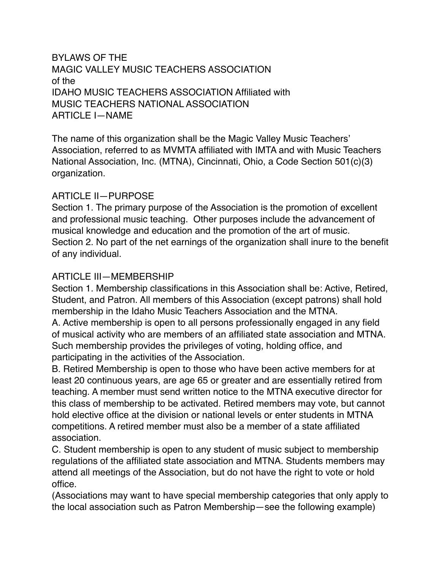BYLAWS OF THE MAGIC VALLEY MUSIC TEACHERS ASSOCIATION of the IDAHO MUSIC TEACHERS ASSOCIATION Affiliated with MUSIC TEACHERS NATIONAL ASSOCIATION ARTICLE I—NAME

The name of this organization shall be the Magic Valley Music Teachers' Association, referred to as MVMTA affiliated with IMTA and with Music Teachers National Association, Inc. (MTNA), Cincinnati, Ohio, a Code Section 501(c)(3) organization.

#### ARTICLE II—PURPOSE

Section 1. The primary purpose of the Association is the promotion of excellent and professional music teaching. Other purposes include the advancement of musical knowledge and education and the promotion of the art of music. Section 2. No part of the net earnings of the organization shall inure to the benefit of any individual.

#### ARTICLE III—MEMBERSHIP

Section 1. Membership classifications in this Association shall be: Active, Retired, Student, and Patron. All members of this Association (except patrons) shall hold membership in the Idaho Music Teachers Association and the MTNA. A. Active membership is open to all persons professionally engaged in any field of musical activity who are members of an affiliated state association and MTNA. Such membership provides the privileges of voting, holding office, and participating in the activities of the Association.

B. Retired Membership is open to those who have been active members for at least 20 continuous years, are age 65 or greater and are essentially retired from teaching. A member must send written notice to the MTNA executive director for this class of membership to be activated. Retired members may vote, but cannot hold elective office at the division or national levels or enter students in MTNA competitions. A retired member must also be a member of a state affiliated association.

C. Student membership is open to any student of music subject to membership regulations of the affiliated state association and MTNA. Students members may attend all meetings of the Association, but do not have the right to vote or hold office.

(Associations may want to have special membership categories that only apply to the local association such as Patron Membership—see the following example)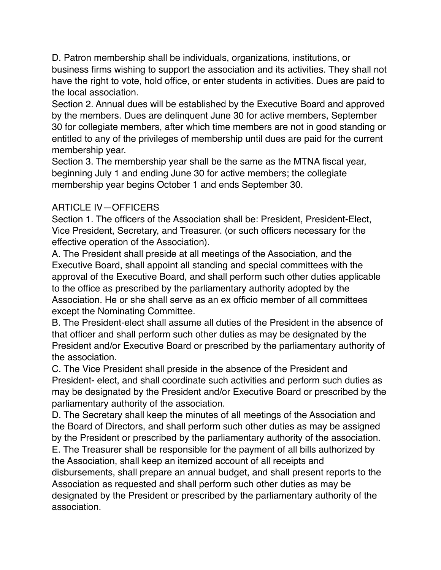D. Patron membership shall be individuals, organizations, institutions, or business firms wishing to support the association and its activities. They shall not have the right to vote, hold office, or enter students in activities. Dues are paid to the local association.

Section 2. Annual dues will be established by the Executive Board and approved by the members. Dues are delinquent June 30 for active members, September 30 for collegiate members, after which time members are not in good standing or entitled to any of the privileges of membership until dues are paid for the current membership year.

Section 3. The membership year shall be the same as the MTNA fiscal year, beginning July 1 and ending June 30 for active members; the collegiate membership year begins October 1 and ends September 30.

## ARTICLE IV—OFFICERS

Section 1. The officers of the Association shall be: President, President-Elect, Vice President, Secretary, and Treasurer. (or such officers necessary for the effective operation of the Association).

A. The President shall preside at all meetings of the Association, and the Executive Board, shall appoint all standing and special committees with the approval of the Executive Board, and shall perform such other duties applicable to the office as prescribed by the parliamentary authority adopted by the Association. He or she shall serve as an ex officio member of all committees except the Nominating Committee.

B. The President-elect shall assume all duties of the President in the absence of that officer and shall perform such other duties as may be designated by the President and/or Executive Board or prescribed by the parliamentary authority of the association.

C. The Vice President shall preside in the absence of the President and President- elect, and shall coordinate such activities and perform such duties as may be designated by the President and/or Executive Board or prescribed by the parliamentary authority of the association.

D. The Secretary shall keep the minutes of all meetings of the Association and the Board of Directors, and shall perform such other duties as may be assigned by the President or prescribed by the parliamentary authority of the association.

E. The Treasurer shall be responsible for the payment of all bills authorized by the Association, shall keep an itemized account of all receipts and disbursements, shall prepare an annual budget, and shall present reports to the

Association as requested and shall perform such other duties as may be designated by the President or prescribed by the parliamentary authority of the association.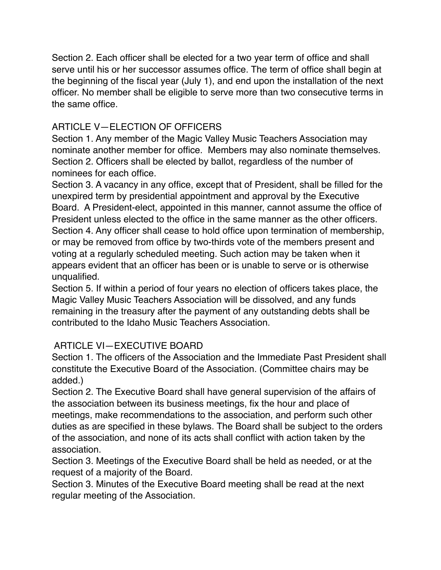Section 2. Each officer shall be elected for a two year term of office and shall serve until his or her successor assumes office. The term of office shall begin at the beginning of the fiscal year (July 1), and end upon the installation of the next officer. No member shall be eligible to serve more than two consecutive terms in the same office.

## ARTICLE V—ELECTION OF OFFICERS

Section 1. Any member of the Magic Valley Music Teachers Association may nominate another member for office. Members may also nominate themselves. Section 2. Officers shall be elected by ballot, regardless of the number of nominees for each office.

Section 3. A vacancy in any office, except that of President, shall be filled for the unexpired term by presidential appointment and approval by the Executive Board. A President-elect, appointed in this manner, cannot assume the office of President unless elected to the office in the same manner as the other officers. Section 4. Any officer shall cease to hold office upon termination of membership, or may be removed from office by two-thirds vote of the members present and voting at a regularly scheduled meeting. Such action may be taken when it appears evident that an officer has been or is unable to serve or is otherwise unqualified.

Section 5. If within a period of four years no election of officers takes place, the Magic Valley Music Teachers Association will be dissolved, and any funds remaining in the treasury after the payment of any outstanding debts shall be contributed to the Idaho Music Teachers Association.

### ARTICLE VI—EXECUTIVE BOARD

Section 1. The officers of the Association and the Immediate Past President shall constitute the Executive Board of the Association. (Committee chairs may be added.)

Section 2. The Executive Board shall have general supervision of the affairs of the association between its business meetings, fix the hour and place of meetings, make recommendations to the association, and perform such other duties as are specified in these bylaws. The Board shall be subject to the orders of the association, and none of its acts shall conflict with action taken by the association.

Section 3. Meetings of the Executive Board shall be held as needed, or at the request of a majority of the Board.

Section 3. Minutes of the Executive Board meeting shall be read at the next regular meeting of the Association.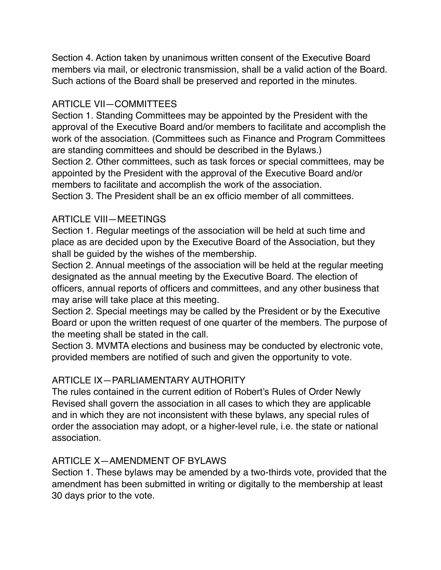Section 4. Action taken by unanimous written consent of the Executive Board members via mail, or electronic transmission, shall be a valid action of the Board. Such actions of the Board shall be preserved and reported in the minutes.

# ARTICLE VII—COMMITTEES

Section 1. Standing Committees may be appointed by the President with the approval of the Executive Board and/or members to facilitate and accomplish the work of the association. (Committees such as Finance and Program Committees are standing committees and should be described in the Bylaws.) Section 2. Other committees, such as task forces or special committees, may be appointed by the President with the approval of the Executive Board and/or members to facilitate and accomplish the work of the association. Section 3. The President shall be an ex officio member of all committees.

### ARTICLE VIII—MEETINGS

Section 1. Regular meetings of the association will be held at such time and place as are decided upon by the Executive Board of the Association, but they shall be guided by the wishes of the membership.

Section 2. Annual meetings of the association will be held at the regular meeting designated as the annual meeting by the Executive Board. The election of officers, annual reports of officers and committees, and any other business that may arise will take place at this meeting.

Section 2. Special meetings may be called by the President or by the Executive Board or upon the written request of one quarter of the members. The purpose of the meeting shall be stated in the call.

Section 3. MVMTA elections and business may be conducted by electronic vote, provided members are notified of such and given the opportunity to vote.

### ARTICLE IX—PARLIAMENTARY AUTHORITY

The rules contained in the current edition of Robert's Rules of Order Newly Revised shall govern the association in all cases to which they are applicable and in which they are not inconsistent with these bylaws, any special rules of order the association may adopt, or a higher-level rule, i.e. the state or national association.

### ARTICLE X—AMENDMENT OF BYLAWS

Section 1. These bylaws may be amended by a two-thirds vote, provided that the amendment has been submitted in writing or digitally to the membership at least 30 days prior to the vote.